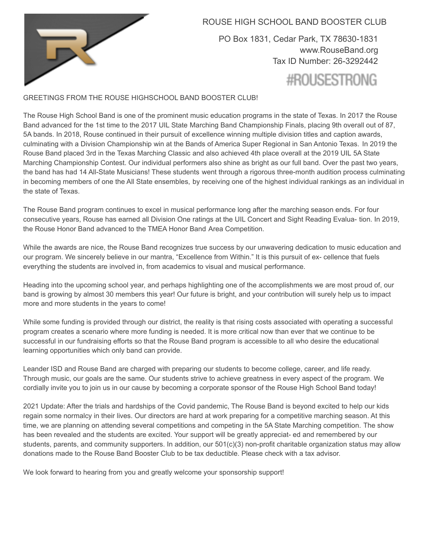

ROUSE HIGH SCHOOL BAND BOOSTER CLUB

PO Box 1831, Cedar Park, TX 78630-1831 [www.RouseBand.org](http://www.rouseband.org/) Tax ID Number: 26-3292442 #ROUSESTRONG

#### GREETINGS FROM THE ROUSE HIGHSCHOOL BAND BOOSTER CLUB!

The Rouse High School Band is one of the prominent music education programs in the state of Texas. In 2017 the Rouse Band advanced for the 1st time to the 2017 UIL State Marching Band Championship Finals, placing 9th overall out of 87, 5A bands. In 2018, Rouse continued in their pursuit of excellence winning multiple division titles and caption awards, culminating with a Division Championship win at the Bands of America Super Regional in San Antonio Texas. In 2019 the Rouse Band placed 3rd in the Texas Marching Classic and also achieved 4th place overall at the 2019 UIL 5A State Marching Championship Contest. Our individual performers also shine as bright as our full band. Over the past two years, the band has had 14 All-State Musicians! These students went through a rigorous three-month audition process culminating in becoming members of one the All State ensembles, by receiving one of the highest individual rankings as an individual in the state of Texas.

The Rouse Band program continues to excel in musical performance long after the marching season ends. For four consecutive years, Rouse has earned all Division One ratings at the UIL Concert and Sight Reading Evalua- tion. In 2019, the Rouse Honor Band advanced to the TMEA Honor Band Area Competition.

While the awards are nice, the Rouse Band recognizes true success by our unwavering dedication to music education and our program. We sincerely believe in our mantra, "Excellence from Within." It is this pursuit of ex- cellence that fuels everything the students are involved in, from academics to visual and musical performance.

Heading into the upcoming school year, and perhaps highlighting one of the accomplishments we are most proud of, our band is growing by almost 30 members this year! Our future is bright, and your contribution will surely help us to impact more and more students in the years to come!

While some funding is provided through our district, the reality is that rising costs associated with operating a successful program creates a scenario where more funding is needed. It is more critical now than ever that we continue to be successful in our fundraising efforts so that the Rouse Band program is accessible to all who desire the educational learning opportunities which only band can provide.

Leander ISD and Rouse Band are charged with preparing our students to become college, career, and life ready. Through music, our goals are the same. Our students strive to achieve greatness in every aspect of the program. We cordially invite you to join us in our cause by becoming a corporate sponsor of the Rouse High School Band today!

2021 Update: After the trials and hardships of the Covid pandemic, The Rouse Band is beyond excited to help our kids regain some normalcy in their lives. Our directors are hard at work preparing for a competitive marching season. At this time, we are planning on attending several competitions and competing in the 5A State Marching competition. The show has been revealed and the students are excited. Your support will be greatly appreciat- ed and remembered by our students, parents, and community supporters. In addition, our 501(c)(3) non-profit charitable organization status may allow donations made to the Rouse Band Booster Club to be tax deductible. Please check with a tax advisor.

We look forward to hearing from you and greatly welcome your sponsorship support!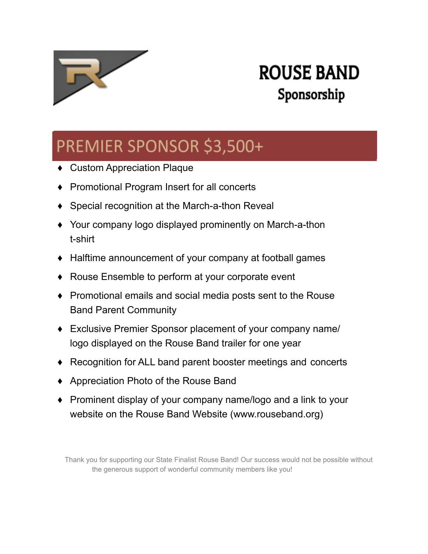

### PREMIER SPONSOR \$3,500+

- ♦ Custom Appreciation Plaque
- ♦ Promotional Program Insert for all concerts
- ♦ Special recognition at the March-a-thon Reveal
- ♦ Your company logo displayed prominently on March-a-thon t-shirt
- ♦ Halftime announcement of your company at football games
- ♦ Rouse Ensemble to perform at your corporate event
- ♦ Promotional emails and social media posts sent to the Rouse Band Parent Community
- ♦ Exclusive Premier Sponsor placement of your company name/ logo displayed on the Rouse Band trailer for one year
- ♦ Recognition for ALL band parent booster meetings and concerts
- ♦ Appreciation Photo of the Rouse Band
- ♦ Prominent display of your company name/logo and a link to your website on the Rouse Band Website (www.rouseband.org)

Thank you for supporting our State Finalist Rouse Band! Our success would not be possible without the generous support of wonderful community members like you!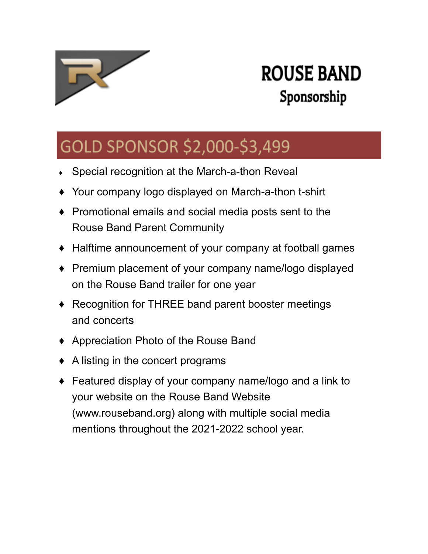

### GOLD SPONSOR \$2,000-\$3,499

- Special recognition at the March-a-thon Reveal
- ♦ Your company logo displayed on March-a-thon t-shirt
- ♦ Promotional emails and social media posts sent to the Rouse Band Parent Community
- ♦ Halftime announcement of your company at football games
- ♦ Premium placement of your company name/logo displayed on the Rouse Band trailer for one year
- ♦ Recognition for THREE band parent booster meetings and concerts
- ♦ Appreciation Photo of the Rouse Band
- $\triangle$  A listing in the concert programs
- ♦ Featured display of your company name/logo and a link to your website on the Rouse Band Website (www.rouseband.org) along with multiple social media mentions throughout the 2021-2022 school year.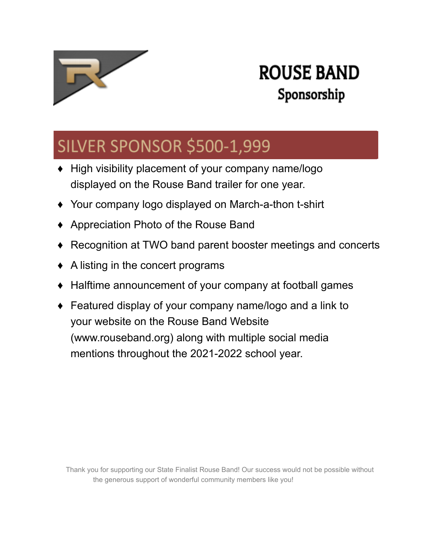

### SILVER SPONSOR \$500-1,999

- ♦ High visibility placement of your company name/logo displayed on the Rouse Band trailer for one year.
- ♦ Your company logo displayed on March-a-thon t-shirt
- ♦ Appreciation Photo of the Rouse Band
- ♦ Recognition at TWO band parent booster meetings and concerts
- $\triangle$  A listing in the concert programs
- Halftime announcement of your company at football games
- ♦ Featured display of your company name/logo and a link to your website on the Rouse Band Website (www.rouseband.org) along with multiple social media mentions throughout the 2021-2022 school year.

Thank you for supporting our State Finalist Rouse Band! Our success would not be possible without the generous support of wonderful community members like you!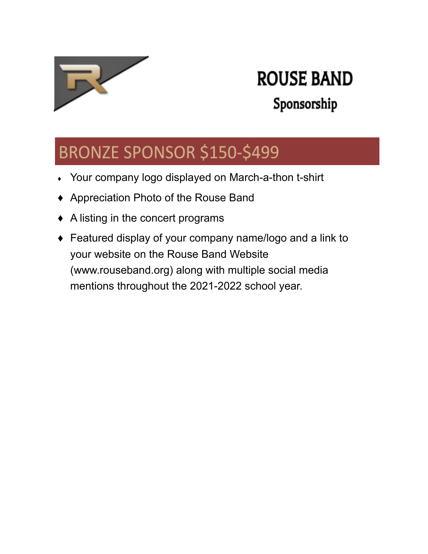

# **ROUSE BAND**

### Sponsorship

### BRONZE SPONSOR \$150-\$499

- Your company logo displayed on March-a-thon t-shirt
- ♦ Appreciation Photo of the Rouse Band
- ♦ A listing in the concert programs
- ♦ Featured display of your company name/logo and a link to your website on the Rouse Band Website (www.rouseband.org) along with multiple social media mentions throughout the 2021-2022 school year.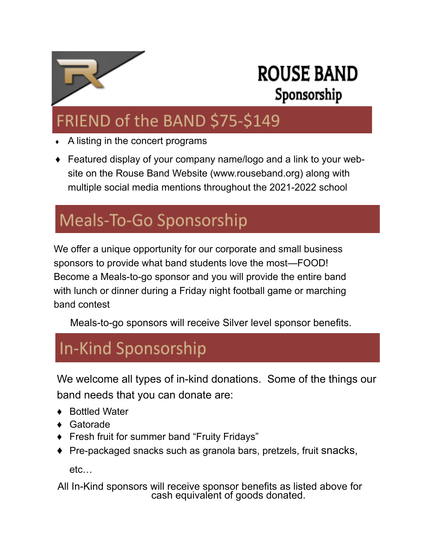

### FRIEND of the BAND \$75-\$149

- A listing in the concert programs
- Featured display of your company name/logo and a link to your website on the Rouse Band Website (www.rouseband.org) along with multiple social media mentions throughout the 2021-2022 school

### Meals-To-Go Sponsorship

We offer a unique opportunity for our corporate and small business sponsors to provide what band students love the most—FOOD! Become a Meals-to-go sponsor and you will provide the entire band with lunch or dinner during a Friday night football game or marching band contest

Meals-to-go sponsors will receive Silver level sponsor benefits.

### In-Kind Sponsorship

We welcome all types of in-kind donations. Some of the things our band needs that you can donate are:

- **Bottled Water**
- Gatorade
- **Fresh fruit for summer band "Fruity Fridays"**
- ♦ Pre-packaged snacks such as granola bars, pretzels, fruit snacks,

etc…

All In-Kind sponsors will receive sponsor benefits as listed above for cash equivalent of goods donated.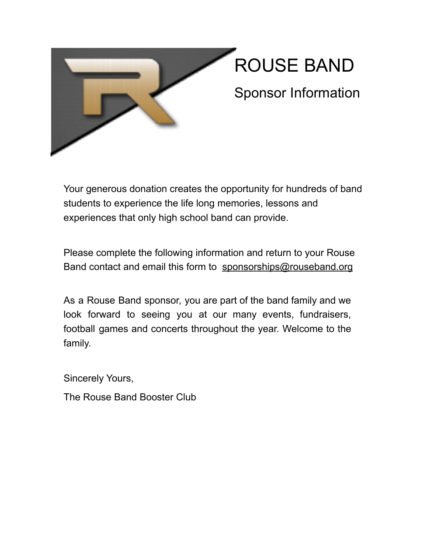

Your generous donation creates the opportunity for hundreds of band students to experience the life long memories, lessons and experiences that only high school band can provide.

Please complete the following information and return to your Rouse Band contact and email this form to [sponsorships@rouseband.org](mailto:sponsorships@rouseband.org)

As a Rouse Band sponsor, you are part of the band family and we look forward to seeing you at our many events, fundraisers, football games and concerts throughout the year. Welcome to the family.

Sincerely Yours,

The Rouse Band Booster Club